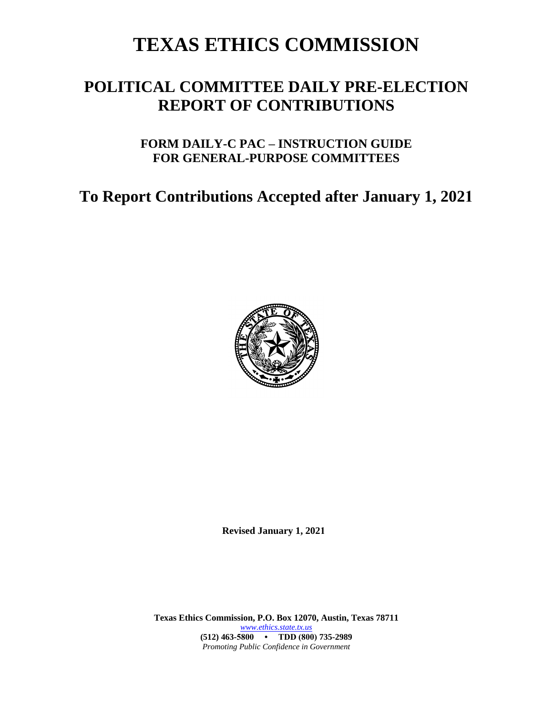# **TEXAS ETHICS COMMISSION**

## **POLITICAL COMMITTEE DAILY PRE-ELECTION REPORT OF CONTRIBUTIONS**

## **FORM DAILY-C PAC – INSTRUCTION GUIDE FOR GENERAL-PURPOSE COMMITTEES**

## **To Report Contributions Accepted after January 1, 2021**



**Revised January 1, 2021**

**Texas Ethics Commission, P.O. Box 12070, Austin, Texas 78711** *[www.ethics.state.tx.us](http://www.ethics.state.tx.us/)* **(512) 463-5800 • TDD (800) 735-2989** *Promoting Public Confidence in Government*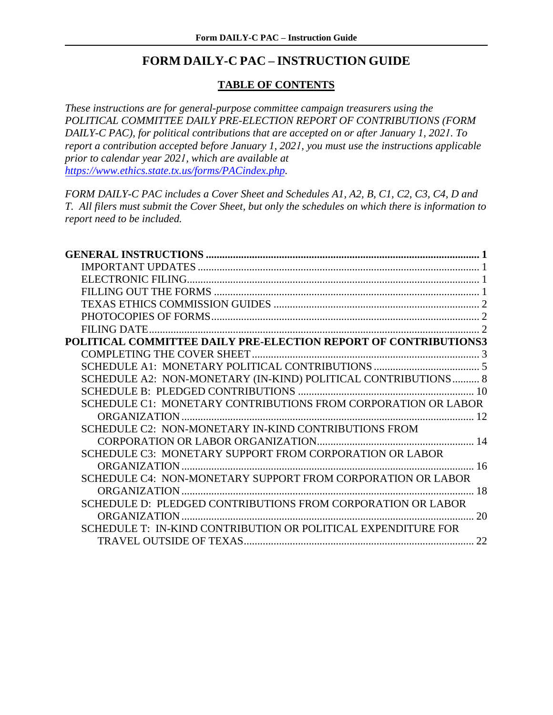#### **FORM DAILY-C PAC – INSTRUCTION GUIDE**

#### **TABLE OF CONTENTS**

*These instructions are for general-purpose committee campaign treasurers using the POLITICAL COMMITTEE DAILY PRE-ELECTION REPORT OF CONTRIBUTIONS (FORM DAILY-C PAC), for political contributions that are accepted on or after January 1, 2021. To report a contribution accepted before January 1, 2021, you must use the instructions applicable prior to calendar year 2021, which are available at [https://www.ethics.state.tx.us/forms/PACindex.php.](https://www.ethics.state.tx.us/forms/PACindex.php)* 

*FORM DAILY-C PAC includes a Cover Sheet and Schedules A1, A2, B, C1, C2, C3, C4, D and T. All filers must submit the Cover Sheet, but only the schedules on which there is information to report need to be included.*

| POLITICAL COMMITTEE DAILY PRE-ELECTION REPORT OF CONTRIBUTIONS3 |  |
|-----------------------------------------------------------------|--|
|                                                                 |  |
|                                                                 |  |
| SCHEDULE A2: NON-MONETARY (IN-KIND) POLITICAL CONTRIBUTIONS 8   |  |
|                                                                 |  |
| SCHEDULE C1: MONETARY CONTRIBUTIONS FROM CORPORATION OR LABOR   |  |
|                                                                 |  |
| SCHEDULE C2: NON-MONETARY IN-KIND CONTRIBUTIONS FROM            |  |
|                                                                 |  |
| SCHEDULE C3: MONETARY SUPPORT FROM CORPORATION OR LABOR         |  |
|                                                                 |  |
| SCHEDULE C4: NON-MONETARY SUPPORT FROM CORPORATION OR LABOR     |  |
| 18                                                              |  |
| SCHEDULE D: PLEDGED CONTRIBUTIONS FROM CORPORATION OR LABOR     |  |
| 20                                                              |  |
| SCHEDULE T: IN-KIND CONTRIBUTION OR POLITICAL EXPENDITURE FOR   |  |
|                                                                 |  |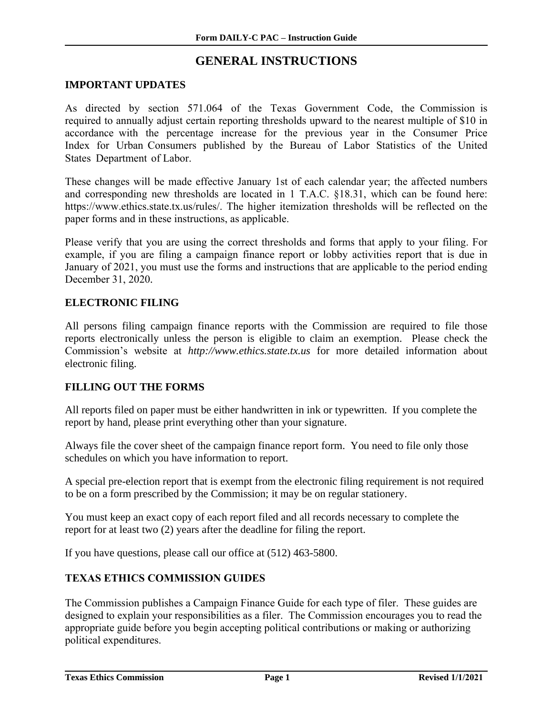### **GENERAL INSTRUCTIONS**

#### <span id="page-2-1"></span><span id="page-2-0"></span>**IMPORTANT UPDATES**

As directed by section 571.064 of the Texas Government Code, the Commission is required to annually adjust certain reporting thresholds upward to the nearest multiple of \$10 in accordance with the percentage increase for the previous year in the Consumer Price Index for Urban Consumers published by the Bureau of Labor Statistics of the United States Department of Labor.

[These changes will be made effective January 1st of each calendar year; the a](https://www.ethics.state.tx.us/rules/adopted/2016-2020/adopted_Mar_2019.php)ffected numbers and corresponding new thresholds are located in 1 T.A.C. §18.31, which can be found here: https://www.ethics.state.tx.us/rules/. The higher itemization thresholds will be reflected on the paper forms and in these instructions, as applicable.

Please verify that you are using the correct thresholds and forms that apply to your filing. For example, if you are filing a campaign finance report or lobby activities report that is due in January of 2021, you must use the forms and instructions that are applicable to the period ending December 31, 2020.

#### **ELECTRONIC FILING**

All persons filing campaign finance reports with the Commission are required to file those reports electronically unless the person is eligible to claim an exemption. Please check the Commission's website at *http://www.ethics.state.tx.us* for more detailed information about electronic filing.

#### <span id="page-2-2"></span>**FILLING OUT THE FORMS**

All reports filed on paper must be either handwritten in ink or typewritten. If you complete the report by hand, please print everything other than your signature.

<span id="page-2-3"></span>Always file the cover sheet of the campaign finance report form. You need to file only those schedules on which you have information to report.

A special pre-election report that is exempt from the electronic filing requirement is not required to be on a form prescribed by the Commission; it may be on regular stationery.

You must keep an exact copy of each report filed and all records necessary to complete the report for at least two (2) years after the deadline for filing the report.

If you have questions, please call our office at (512) 463-5800.

#### **TEXAS ETHICS COMMISSION GUIDES**

The Commission publishes a Campaign Finance Guide for each type of filer. These guides are designed to explain your responsibilities as a filer. The Commission encourages you to read the appropriate guide before you begin accepting political contributions or making or authorizing political expenditures.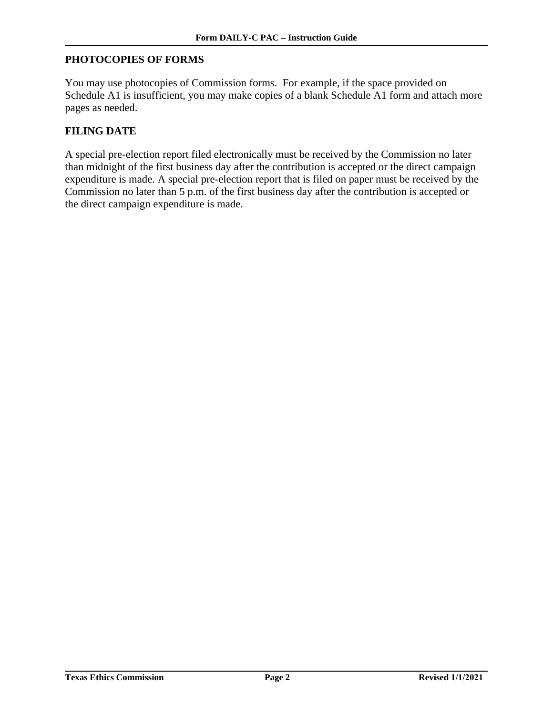#### <span id="page-3-0"></span>**PHOTOCOPIES OF FORMS**

You may use photocopies of Commission forms. For example, if the space provided on Schedule A1 is insufficient, you may make copies of a blank Schedule A1 form and attach more pages as needed.

#### <span id="page-3-1"></span>**FILING DATE**

<span id="page-3-2"></span>A special pre-election report filed electronically must be received by the Commission no later than midnight of the first business day after the contribution is accepted or the direct campaign expenditure is made. A special pre-election report that is filed on paper must be received by the Commission no later than 5 p.m. of the first business day after the contribution is accepted or the direct campaign expenditure is made.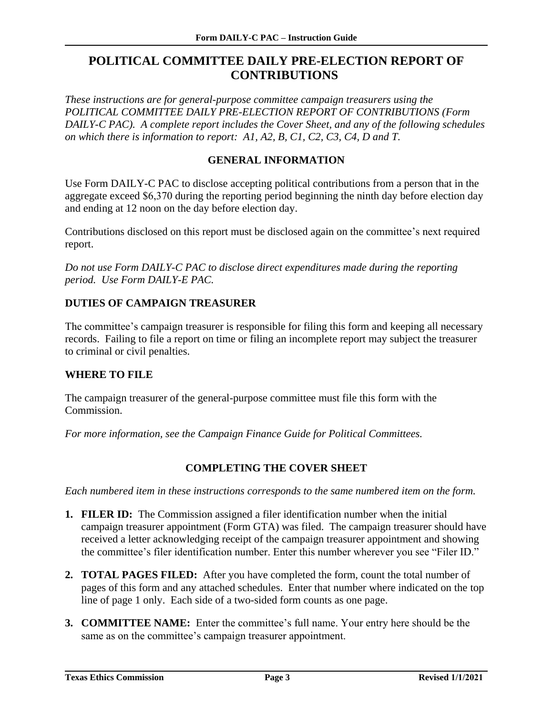## <span id="page-4-0"></span>**POLITICAL COMMITTEE DAILY PRE-ELECTION REPORT OF CONTRIBUTIONS**

*These instructions are for general-purpose committee campaign treasurers using the POLITICAL COMMITTEE DAILY PRE-ELECTION REPORT OF CONTRIBUTIONS (Form DAILY-C PAC). A complete report includes the Cover Sheet, and any of the following schedules on which there is information to report: A1, A2, B, C1, C2, C3, C4, D and T.*

#### **GENERAL INFORMATION**

Use Form DAILY-C PAC to disclose accepting political contributions from a person that in the aggregate exceed \$6,370 during the reporting period beginning the ninth day before election day and ending at 12 noon on the day before election day.

Contributions disclosed on this report must be disclosed again on the committee's next required report.

*Do not use Form DAILY-C PAC to disclose direct expenditures made during the reporting period. Use Form DAILY-E PAC.*

#### **DUTIES OF CAMPAIGN TREASURER**

The committee's campaign treasurer is responsible for filing this form and keeping all necessary records. Failing to file a report on time or filing an incomplete report may subject the treasurer to criminal or civil penalties.

#### **WHERE TO FILE**

The campaign treasurer of the general-purpose committee must file this form with the Commission.

<span id="page-4-1"></span>*For more information, see the Campaign Finance Guide for Political Committees.*

#### **COMPLETING THE COVER SHEET**

- **1. FILER ID:** The Commission assigned a filer identification number when the initial campaign treasurer appointment (Form GTA) was filed. The campaign treasurer should have received a letter acknowledging receipt of the campaign treasurer appointment and showing the committee's filer identification number. Enter this number wherever you see "Filer ID."
- **2. TOTAL PAGES FILED:** After you have completed the form, count the total number of pages of this form and any attached schedules. Enter that number where indicated on the top line of page 1 only. Each side of a two-sided form counts as one page.
- **3. COMMITTEE NAME:** Enter the committee's full name. Your entry here should be the same as on the committee's campaign treasurer appointment.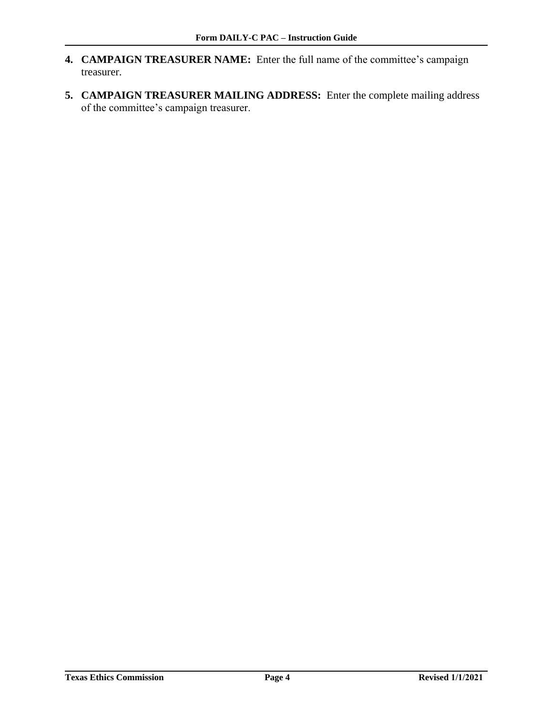- **4. CAMPAIGN TREASURER NAME:** Enter the full name of the committee's campaign treasurer.
- **5. CAMPAIGN TREASURER MAILING ADDRESS:** Enter the complete mailing address of the committee's campaign treasurer.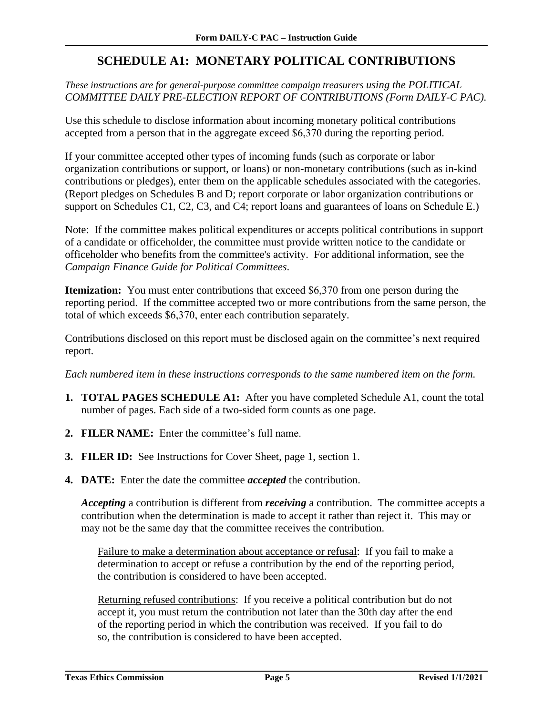## **SCHEDULE A1: MONETARY POLITICAL CONTRIBUTIONS**

#### <span id="page-6-0"></span>*These instructions are for general-purpose committee campaign treasurers using the POLITICAL COMMITTEE DAILY PRE-ELECTION REPORT OF CONTRIBUTIONS (Form DAILY-C PAC).*

Use this schedule to disclose information about incoming monetary political contributions accepted from a person that in the aggregate exceed \$6,370 during the reporting period.

If your committee accepted other types of incoming funds (such as corporate or labor organization contributions or support, or loans) or non-monetary contributions (such as in-kind contributions or pledges), enter them on the applicable schedules associated with the categories. (Report pledges on Schedules B and D; report corporate or labor organization contributions or support on Schedules C1, C2, C3, and C4; report loans and guarantees of loans on Schedule E.)

Note: If the committee makes political expenditures or accepts political contributions in support of a candidate or officeholder, the committee must provide written notice to the candidate or officeholder who benefits from the committee's activity. For additional information, see the *Campaign Finance Guide for Political Committees*.

**Itemization:** You must enter contributions that exceed \$6,370 from one person during the reporting period. If the committee accepted two or more contributions from the same person, the total of which exceeds \$6,370, enter each contribution separately.

Contributions disclosed on this report must be disclosed again on the committee's next required report.

*Each numbered item in these instructions corresponds to the same numbered item on the form.* 

- **1. TOTAL PAGES SCHEDULE A1:** After you have completed Schedule A1, count the total number of pages. Each side of a two-sided form counts as one page.
- **2. FILER NAME:** Enter the committee's full name.
- **3. FILER ID:** See Instructions for Cover Sheet, page 1, section 1.
- **4. DATE:** Enter the date the committee *accepted* the contribution.

*Accepting* a contribution is different from *receiving* a contribution. The committee accepts a contribution when the determination is made to accept it rather than reject it. This may or may not be the same day that the committee receives the contribution.

Failure to make a determination about acceptance or refusal: If you fail to make a determination to accept or refuse a contribution by the end of the reporting period, the contribution is considered to have been accepted.

Returning refused contributions: If you receive a political contribution but do not accept it, you must return the contribution not later than the 30th day after the end of the reporting period in which the contribution was received. If you fail to do so, the contribution is considered to have been accepted.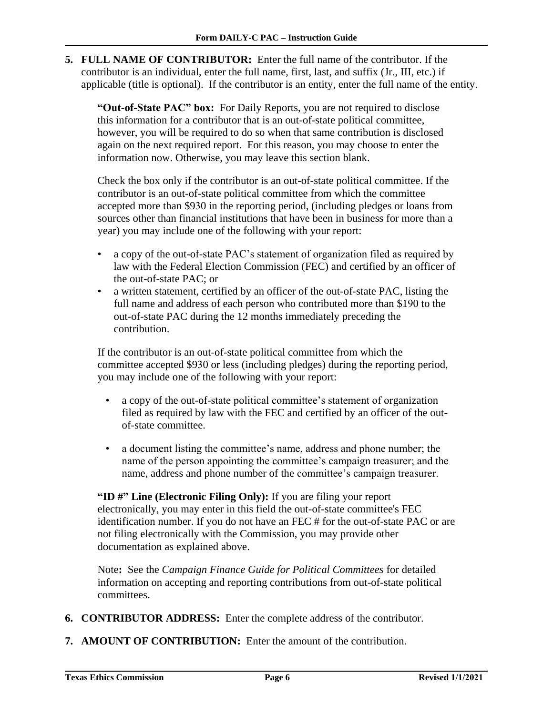**5. FULL NAME OF CONTRIBUTOR:** Enter the full name of the contributor. If the contributor is an individual, enter the full name, first, last, and suffix (Jr., III, etc.) if applicable (title is optional). If the contributor is an entity, enter the full name of the entity.

**"Out-of-State PAC" box:** For Daily Reports, you are not required to disclose this information for a contributor that is an out-of-state political committee, however, you will be required to do so when that same contribution is disclosed again on the next required report. For this reason, you may choose to enter the information now. Otherwise, you may leave this section blank.

Check the box only if the contributor is an out-of-state political committee. If the contributor is an out-of-state political committee from which the committee accepted more than \$930 in the reporting period, (including pledges or loans from sources other than financial institutions that have been in business for more than a year) you may include one of the following with your report:

- a copy of the out-of-state PAC's statement of organization filed as required by law with the Federal Election Commission (FEC) and certified by an officer of the out-of-state PAC; or
- a written statement, certified by an officer of the out-of-state PAC, listing the full name and address of each person who contributed more than \$190 to the out-of-state PAC during the 12 months immediately preceding the contribution.

If the contributor is an out-of-state political committee from which the committee accepted \$930 or less (including pledges) during the reporting period, you may include one of the following with your report:

- a copy of the out-of-state political committee's statement of organization filed as required by law with the FEC and certified by an officer of the outof-state committee.
- a document listing the committee's name, address and phone number; the name of the person appointing the committee's campaign treasurer; and the name, address and phone number of the committee's campaign treasurer.

**"ID #" Line (Electronic Filing Only):** If you are filing your report electronically, you may enter in this field the out-of-state committee's FEC identification number. If you do not have an FEC # for the out-of-state PAC or are not filing electronically with the Commission, you may provide other documentation as explained above.

Note**:** See the *Campaign Finance Guide for Political Committees* for detailed information on accepting and reporting contributions from out-of-state political committees.

- **6. CONTRIBUTOR ADDRESS:** Enter the complete address of the contributor.
- **7. AMOUNT OF CONTRIBUTION:** Enter the amount of the contribution.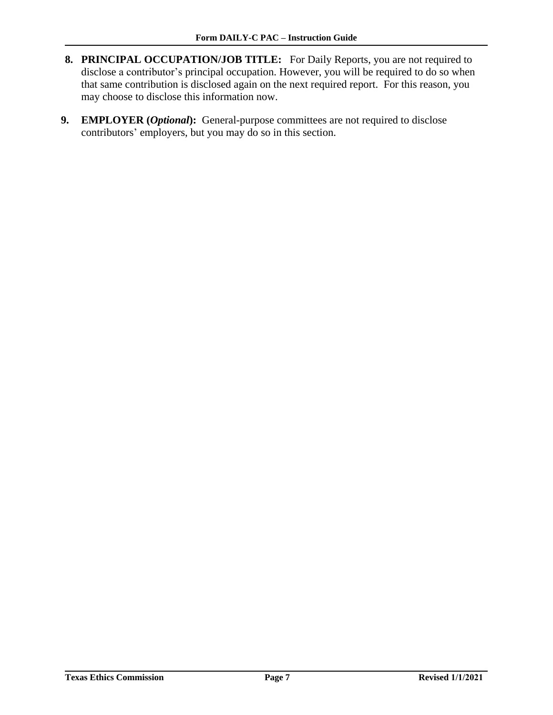- **8. PRINCIPAL OCCUPATION/JOB TITLE:** For Daily Reports, you are not required to disclose a contributor's principal occupation. However, you will be required to do so when that same contribution is disclosed again on the next required report. For this reason, you may choose to disclose this information now.
- **9. EMPLOYER (***Optional***):** General-purpose committees are not required to disclose contributors' employers, but you may do so in this section.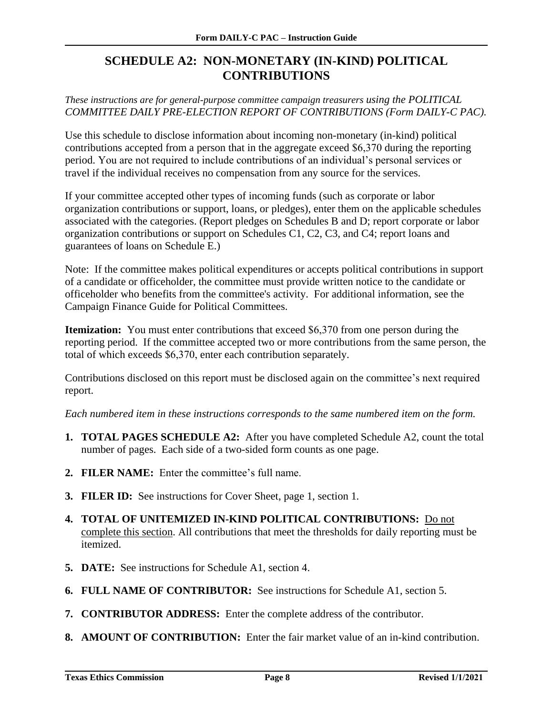## <span id="page-9-0"></span>**SCHEDULE A2: NON-MONETARY (IN-KIND) POLITICAL CONTRIBUTIONS**

*These instructions are for general-purpose committee campaign treasurers using the POLITICAL COMMITTEE DAILY PRE-ELECTION REPORT OF CONTRIBUTIONS (Form DAILY-C PAC).*

Use this schedule to disclose information about incoming non-monetary (in-kind) political contributions accepted from a person that in the aggregate exceed \$6,370 during the reporting period. You are not required to include contributions of an individual's personal services or travel if the individual receives no compensation from any source for the services.

If your committee accepted other types of incoming funds (such as corporate or labor organization contributions or support, loans, or pledges), enter them on the applicable schedules associated with the categories. (Report pledges on Schedules B and D; report corporate or labor organization contributions or support on Schedules C1, C2, C3, and C4; report loans and guarantees of loans on Schedule E.)

Note: If the committee makes political expenditures or accepts political contributions in support of a candidate or officeholder, the committee must provide written notice to the candidate or officeholder who benefits from the committee's activity. For additional information, see the Campaign Finance Guide for Political Committees.

**Itemization:** You must enter contributions that exceed \$6,370 from one person during the reporting period. If the committee accepted two or more contributions from the same person, the total of which exceeds \$6,370, enter each contribution separately.

Contributions disclosed on this report must be disclosed again on the committee's next required report.

- **1. TOTAL PAGES SCHEDULE A2:** After you have completed Schedule A2, count the total number of pages. Each side of a two-sided form counts as one page.
- **2. FILER NAME:** Enter the committee's full name.
- **3. FILER ID:** See instructions for Cover Sheet, page 1, section 1*.*
- **4. TOTAL OF UNITEMIZED IN-KIND POLITICAL CONTRIBUTIONS:** Do not complete this section. All contributions that meet the thresholds for daily reporting must be itemized.
- **5. DATE:** See instructions for Schedule A1, section 4.
- **6. FULL NAME OF CONTRIBUTOR:** See instructions for Schedule A1, section 5.
- **7. CONTRIBUTOR ADDRESS:** Enter the complete address of the contributor.
- **8. AMOUNT OF CONTRIBUTION:** Enter the fair market value of an in-kind contribution.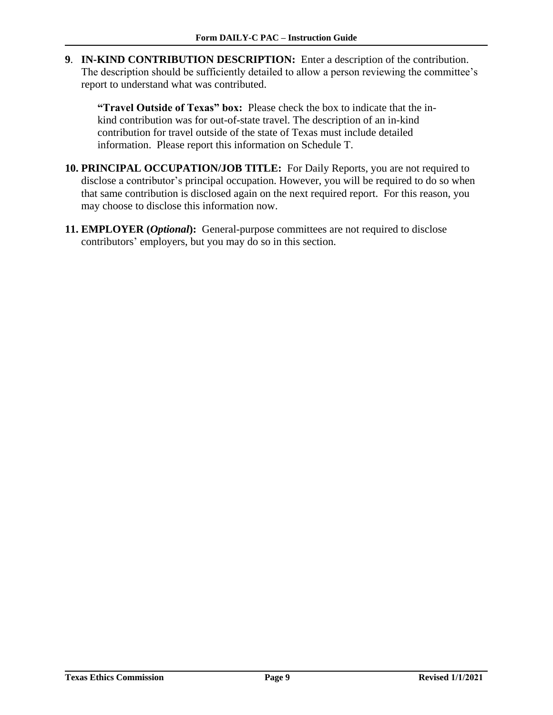**9**. **IN-KIND CONTRIBUTION DESCRIPTION:** Enter a description of the contribution. The description should be sufficiently detailed to allow a person reviewing the committee's report to understand what was contributed.

**"Travel Outside of Texas" box:** Please check the box to indicate that the inkind contribution was for out-of-state travel. The description of an in-kind contribution for travel outside of the state of Texas must include detailed information. Please report this information on Schedule T.

- **10. PRINCIPAL OCCUPATION/JOB TITLE:** For Daily Reports, you are not required to disclose a contributor's principal occupation. However, you will be required to do so when that same contribution is disclosed again on the next required report. For this reason, you may choose to disclose this information now.
- **11. EMPLOYER (***Optional***):** General-purpose committees are not required to disclose contributors' employers, but you may do so in this section.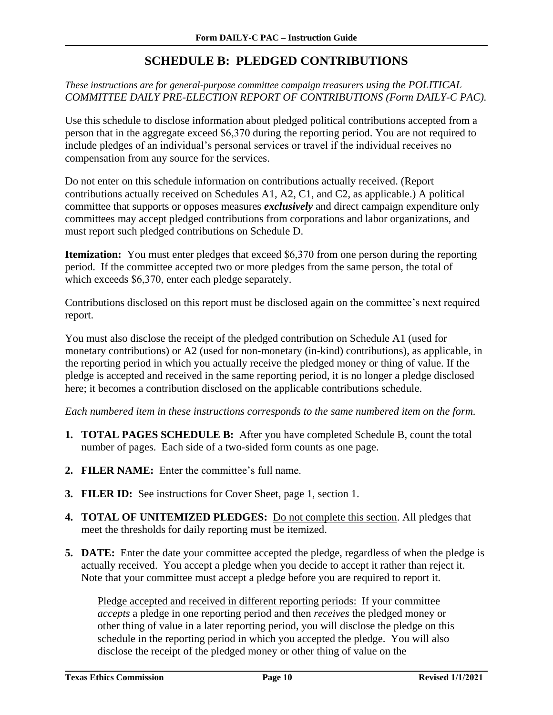## **SCHEDULE B: PLEDGED CONTRIBUTIONS**

#### <span id="page-11-0"></span>*These instructions are for general-purpose committee campaign treasurers using the POLITICAL COMMITTEE DAILY PRE-ELECTION REPORT OF CONTRIBUTIONS (Form DAILY-C PAC).*

Use this schedule to disclose information about pledged political contributions accepted from a person that in the aggregate exceed \$6,370 during the reporting period. You are not required to include pledges of an individual's personal services or travel if the individual receives no compensation from any source for the services.

Do not enter on this schedule information on contributions actually received. (Report contributions actually received on Schedules A1, A2, C1, and C2, as applicable.) A political committee that supports or opposes measures *exclusively* and direct campaign expenditure only committees may accept pledged contributions from corporations and labor organizations, and must report such pledged contributions on Schedule D.

**Itemization:** You must enter pledges that exceed \$6,370 from one person during the reporting period. If the committee accepted two or more pledges from the same person, the total of which exceeds \$6,370, enter each pledge separately.

Contributions disclosed on this report must be disclosed again on the committee's next required report.

You must also disclose the receipt of the pledged contribution on Schedule A1 (used for monetary contributions) or A2 (used for non-monetary (in-kind) contributions), as applicable, in the reporting period in which you actually receive the pledged money or thing of value. If the pledge is accepted and received in the same reporting period, it is no longer a pledge disclosed here; it becomes a contribution disclosed on the applicable contributions schedule.

*Each numbered item in these instructions corresponds to the same numbered item on the form.*

- **1. TOTAL PAGES SCHEDULE B:** After you have completed Schedule B, count the total number of pages. Each side of a two-sided form counts as one page.
- **2. FILER NAME:** Enter the committee's full name.
- **3. FILER ID:** See instructions for Cover Sheet, page 1, section 1.
- **4. TOTAL OF UNITEMIZED PLEDGES:** Do not complete this section. All pledges that meet the thresholds for daily reporting must be itemized.
- **5. DATE:** Enter the date your committee accepted the pledge, regardless of when the pledge is actually received. You accept a pledge when you decide to accept it rather than reject it. Note that your committee must accept a pledge before you are required to report it.

Pledge accepted and received in different reporting periods: If your committee *accepts* a pledge in one reporting period and then *receives* the pledged money or other thing of value in a later reporting period, you will disclose the pledge on this schedule in the reporting period in which you accepted the pledge. You will also disclose the receipt of the pledged money or other thing of value on the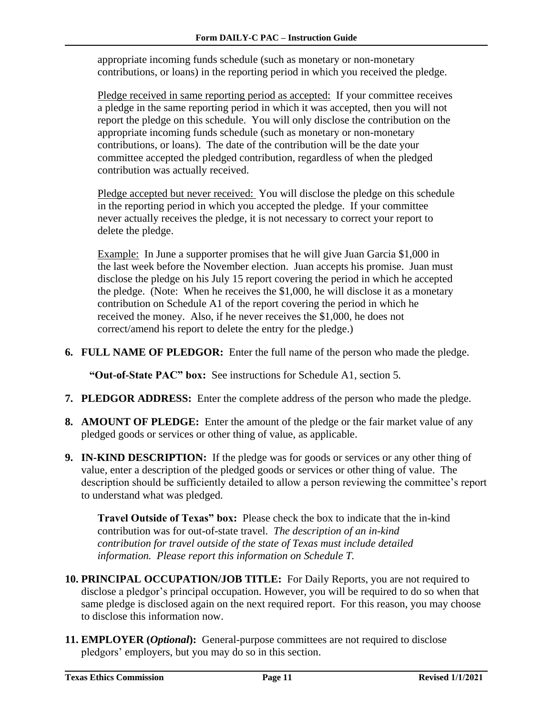appropriate incoming funds schedule (such as monetary or non-monetary contributions, or loans) in the reporting period in which you received the pledge.

Pledge received in same reporting period as accepted: If your committee receives a pledge in the same reporting period in which it was accepted, then you will not report the pledge on this schedule. You will only disclose the contribution on the appropriate incoming funds schedule (such as monetary or non-monetary contributions, or loans). The date of the contribution will be the date your committee accepted the pledged contribution, regardless of when the pledged contribution was actually received.

Pledge accepted but never received: You will disclose the pledge on this schedule in the reporting period in which you accepted the pledge. If your committee never actually receives the pledge, it is not necessary to correct your report to delete the pledge.

Example: In June a supporter promises that he will give Juan Garcia \$1,000 in the last week before the November election. Juan accepts his promise. Juan must disclose the pledge on his July 15 report covering the period in which he accepted the pledge. (Note: When he receives the \$1,000, he will disclose it as a monetary contribution on Schedule A1 of the report covering the period in which he received the money. Also, if he never receives the \$1,000, he does not correct/amend his report to delete the entry for the pledge.)

**6. FULL NAME OF PLEDGOR:** Enter the full name of the person who made the pledge.

**"Out-of-State PAC" box:** See instructions for Schedule A1, section 5*.*

- **7. PLEDGOR ADDRESS:** Enter the complete address of the person who made the pledge.
- **8. AMOUNT OF PLEDGE:** Enter the amount of the pledge or the fair market value of any pledged goods or services or other thing of value, as applicable.
- **9. IN-KIND DESCRIPTION:** If the pledge was for goods or services or any other thing of value, enter a description of the pledged goods or services or other thing of value. The description should be sufficiently detailed to allow a person reviewing the committee's report to understand what was pledged.

**Travel Outside of Texas" box:** Please check the box to indicate that the in-kind contribution was for out-of-state travel.*The description of an in-kind contribution for travel outside of the state of Texas must include detailed information. Please report this information on Schedule T.*

- **10. PRINCIPAL OCCUPATION/JOB TITLE:** For Daily Reports, you are not required to disclose a pledgor's principal occupation. However, you will be required to do so when that same pledge is disclosed again on the next required report. For this reason, you may choose to disclose this information now.
- **11. EMPLOYER (***Optional***):** General-purpose committees are not required to disclose pledgors' employers, but you may do so in this section.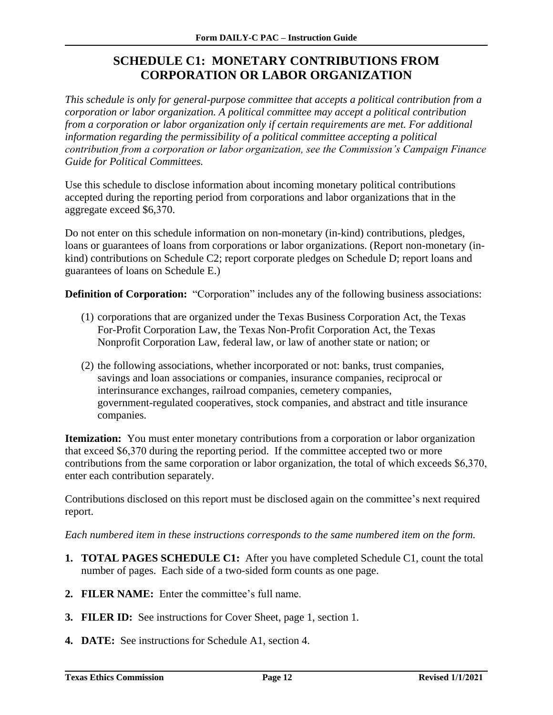## **SCHEDULE C1: MONETARY CONTRIBUTIONS FROM CORPORATION OR LABOR ORGANIZATION**

<span id="page-13-0"></span>*This schedule is only for general-purpose committee that accepts a political contribution from a corporation or labor organization. A political committee may accept a political contribution from a corporation or labor organization only if certain requirements are met. For additional information regarding the permissibility of a political committee accepting a political contribution from a corporation or labor organization, see the Commission's Campaign Finance Guide for Political Committees.*

Use this schedule to disclose information about incoming monetary political contributions accepted during the reporting period from corporations and labor organizations that in the aggregate exceed \$6,370.

Do not enter on this schedule information on non-monetary (in-kind) contributions, pledges, loans or guarantees of loans from corporations or labor organizations. (Report non-monetary (inkind) contributions on Schedule C2; report corporate pledges on Schedule D; report loans and guarantees of loans on Schedule E.)

**Definition of Corporation:** "Corporation" includes any of the following business associations:

- (1) corporations that are organized under the Texas Business Corporation Act, the Texas For-Profit Corporation Law, the Texas Non-Profit Corporation Act, the Texas Nonprofit Corporation Law, federal law, or law of another state or nation; or
- (2) the following associations, whether incorporated or not: banks, trust companies, savings and loan associations or companies, insurance companies, reciprocal or interinsurance exchanges, railroad companies, cemetery companies, government-regulated cooperatives, stock companies, and abstract and title insurance companies.

**Itemization:** You must enter monetary contributions from a corporation or labor organization that exceed \$6,370 during the reporting period. If the committee accepted two or more contributions from the same corporation or labor organization, the total of which exceeds \$6,370, enter each contribution separately.

Contributions disclosed on this report must be disclosed again on the committee's next required report.

- **1. TOTAL PAGES SCHEDULE C1:** After you have completed Schedule C1, count the total number of pages. Each side of a two-sided form counts as one page.
- **2. FILER NAME:** Enter the committee's full name.
- **3. FILER ID:** See instructions for Cover Sheet, page 1, section 1*.*
- **4. DATE:** See instructions for Schedule A1, section 4.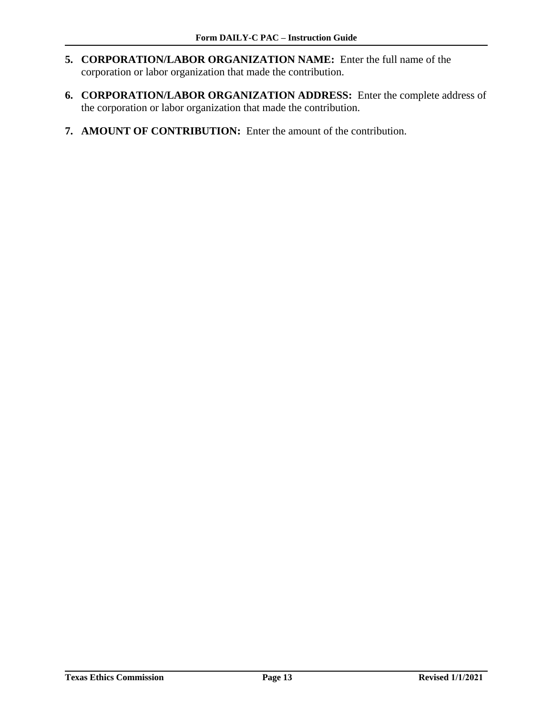- **5. CORPORATION/LABOR ORGANIZATION NAME:** Enter the full name of the corporation or labor organization that made the contribution.
- **6. CORPORATION/LABOR ORGANIZATION ADDRESS:** Enter the complete address of the corporation or labor organization that made the contribution.
- **7. AMOUNT OF CONTRIBUTION:** Enter the amount of the contribution.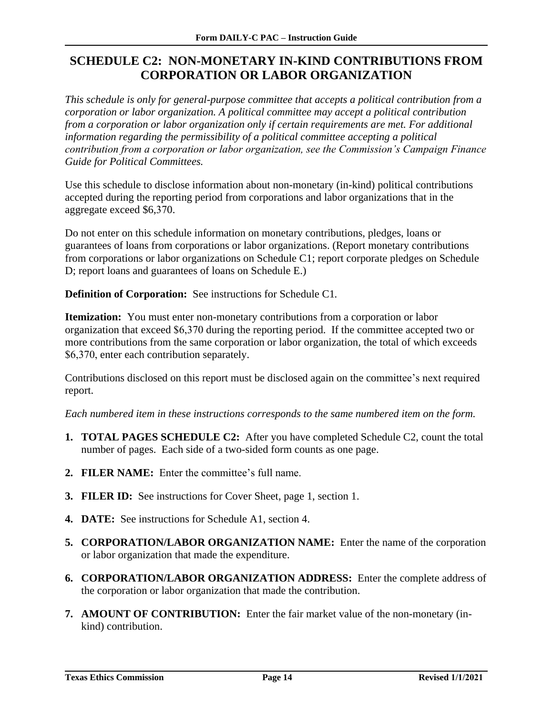## <span id="page-15-0"></span>**SCHEDULE C2: NON-MONETARY IN-KIND CONTRIBUTIONS FROM CORPORATION OR LABOR ORGANIZATION**

*This schedule is only for general-purpose committee that accepts a political contribution from a corporation or labor organization. A political committee may accept a political contribution from a corporation or labor organization only if certain requirements are met. For additional information regarding the permissibility of a political committee accepting a political contribution from a corporation or labor organization, see the Commission's Campaign Finance Guide for Political Committees.* 

Use this schedule to disclose information about non-monetary (in-kind) political contributions accepted during the reporting period from corporations and labor organizations that in the aggregate exceed \$6,370.

Do not enter on this schedule information on monetary contributions, pledges, loans or guarantees of loans from corporations or labor organizations. (Report monetary contributions from corporations or labor organizations on Schedule C1; report corporate pledges on Schedule D; report loans and guarantees of loans on Schedule E.)

**Definition of Corporation:** See instructions for Schedule C1*.*

**Itemization:** You must enter non-monetary contributions from a corporation or labor organization that exceed \$6,370 during the reporting period. If the committee accepted two or more contributions from the same corporation or labor organization, the total of which exceeds \$6,370, enter each contribution separately.

Contributions disclosed on this report must be disclosed again on the committee's next required report.

- **1. TOTAL PAGES SCHEDULE C2:** After you have completed Schedule C2, count the total number of pages. Each side of a two-sided form counts as one page.
- **2. FILER NAME:** Enter the committee's full name.
- **3. FILER ID:** See instructions for Cover Sheet, page 1, section 1.
- **4. DATE:** See instructions for Schedule A1, section 4.
- **5. CORPORATION/LABOR ORGANIZATION NAME:** Enter the name of the corporation or labor organization that made the expenditure.
- **6. CORPORATION/LABOR ORGANIZATION ADDRESS:** Enter the complete address of the corporation or labor organization that made the contribution.
- **7. AMOUNT OF CONTRIBUTION:** Enter the fair market value of the non-monetary (inkind) contribution.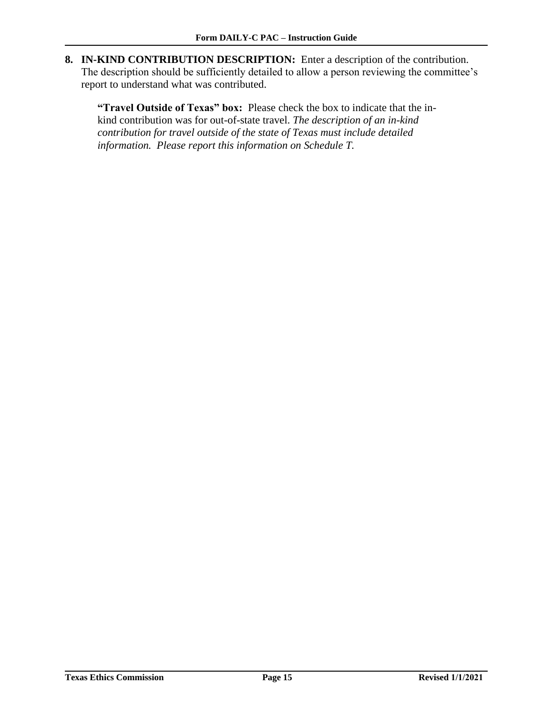**8. IN-KIND CONTRIBUTION DESCRIPTION:** Enter a description of the contribution. The description should be sufficiently detailed to allow a person reviewing the committee's report to understand what was contributed.

**"Travel Outside of Texas" box:** Please check the box to indicate that the inkind contribution was for out-of-state travel. *The description of an in-kind contribution for travel outside of the state of Texas must include detailed information. Please report this information on Schedule T.*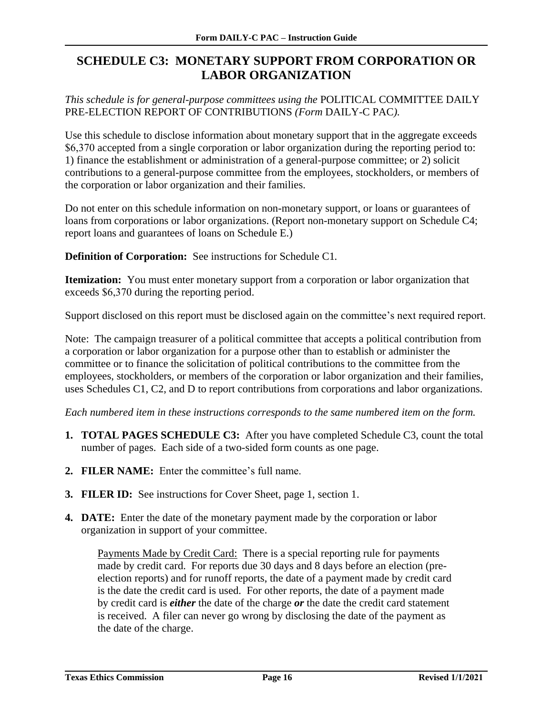## <span id="page-17-0"></span>**SCHEDULE C3: MONETARY SUPPORT FROM CORPORATION OR LABOR ORGANIZATION**

*This schedule is for general-purpose committees using the* POLITICAL COMMITTEE DAILY PRE-ELECTION REPORT OF CONTRIBUTIONS *(Form* DAILY-C PAC*).* 

Use this schedule to disclose information about monetary support that in the aggregate exceeds \$6,370 accepted from a single corporation or labor organization during the reporting period to: 1) finance the establishment or administration of a general-purpose committee; or 2) solicit contributions to a general-purpose committee from the employees, stockholders, or members of the corporation or labor organization and their families.

Do not enter on this schedule information on non-monetary support, or loans or guarantees of loans from corporations or labor organizations. (Report non-monetary support on Schedule C4; report loans and guarantees of loans on Schedule E.)

**Definition of Corporation:** See instructions for Schedule C1*.*

**Itemization:** You must enter monetary support from a corporation or labor organization that exceeds \$6,370 during the reporting period.

Support disclosed on this report must be disclosed again on the committee's next required report.

Note: The campaign treasurer of a political committee that accepts a political contribution from a corporation or labor organization for a purpose other than to establish or administer the committee or to finance the solicitation of political contributions to the committee from the employees, stockholders, or members of the corporation or labor organization and their families, uses Schedules C1, C2, and D to report contributions from corporations and labor organizations.

*Each numbered item in these instructions corresponds to the same numbered item on the form.*

- **1. TOTAL PAGES SCHEDULE C3:** After you have completed Schedule C3, count the total number of pages. Each side of a two-sided form counts as one page.
- **2. FILER NAME:** Enter the committee's full name.
- **3. FILER ID:** See instructions for Cover Sheet, page 1, section 1.
- **4. DATE:** Enter the date of the monetary payment made by the corporation or labor organization in support of your committee.

Payments Made by Credit Card:There is a special reporting rule for payments made by credit card. For reports due 30 days and 8 days before an election (preelection reports) and for runoff reports, the date of a payment made by credit card is the date the credit card is used. For other reports, the date of a payment made by credit card is *either* the date of the charge *or* the date the credit card statement is received. A filer can never go wrong by disclosing the date of the payment as the date of the charge.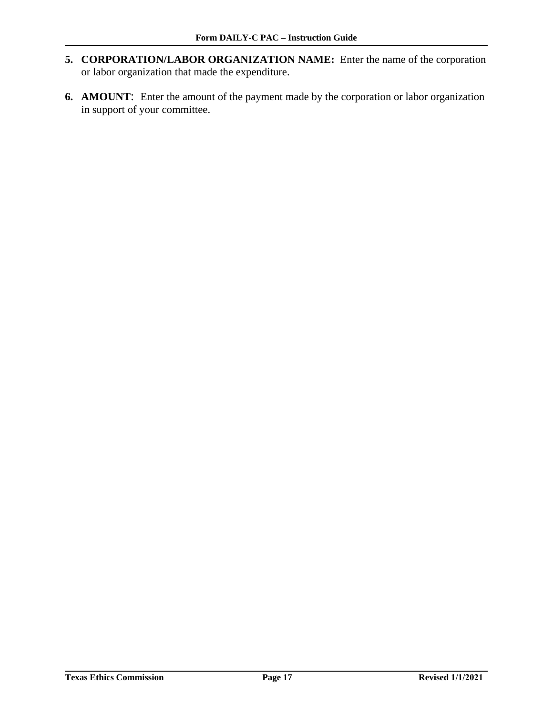- **5. CORPORATION/LABOR ORGANIZATION NAME:** Enter the name of the corporation or labor organization that made the expenditure.
- **6. AMOUNT**: Enter the amount of the payment made by the corporation or labor organization in support of your committee.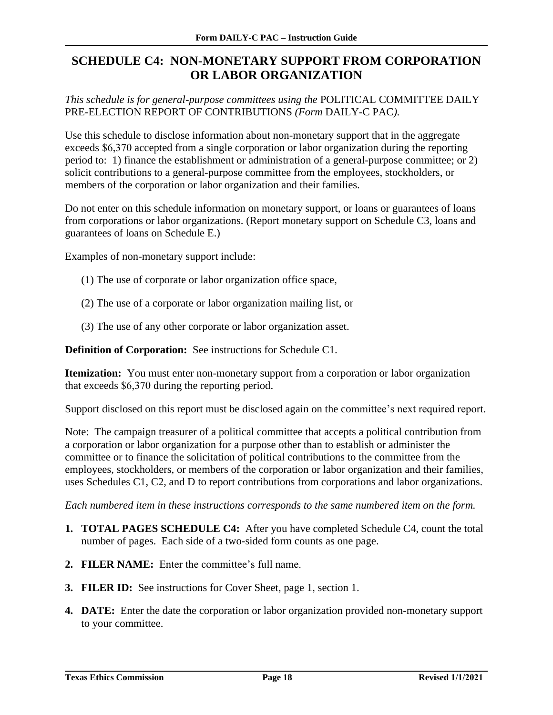## <span id="page-19-0"></span>**SCHEDULE C4: NON-MONETARY SUPPORT FROM CORPORATION OR LABOR ORGANIZATION**

*This schedule is for general-purpose committees using the* POLITICAL COMMITTEE DAILY PRE-ELECTION REPORT OF CONTRIBUTIONS *(Form* DAILY-C PAC*).*

Use this schedule to disclose information about non-monetary support that in the aggregate exceeds \$6,370 accepted from a single corporation or labor organization during the reporting period to: 1) finance the establishment or administration of a general-purpose committee; or 2) solicit contributions to a general-purpose committee from the employees, stockholders, or members of the corporation or labor organization and their families.

Do not enter on this schedule information on monetary support, or loans or guarantees of loans from corporations or labor organizations. (Report monetary support on Schedule C3, loans and guarantees of loans on Schedule E.)

Examples of non-monetary support include:

- (1) The use of corporate or labor organization office space,
- (2) The use of a corporate or labor organization mailing list, or
- (3) The use of any other corporate or labor organization asset.

**Definition of Corporation:** See instructions for Schedule C1.

**Itemization:** You must enter non-monetary support from a corporation or labor organization that exceeds \$6,370 during the reporting period.

Support disclosed on this report must be disclosed again on the committee's next required report.

Note: The campaign treasurer of a political committee that accepts a political contribution from a corporation or labor organization for a purpose other than to establish or administer the committee or to finance the solicitation of political contributions to the committee from the employees, stockholders, or members of the corporation or labor organization and their families, uses Schedules C1, C2, and D to report contributions from corporations and labor organizations.

- **1. TOTAL PAGES SCHEDULE C4:** After you have completed Schedule C4, count the total number of pages. Each side of a two-sided form counts as one page.
- **2. FILER NAME:** Enter the committee's full name.
- **3. FILER ID:** See instructions for Cover Sheet, page 1, section 1.
- **4. DATE:** Enter the date the corporation or labor organization provided non-monetary support to your committee.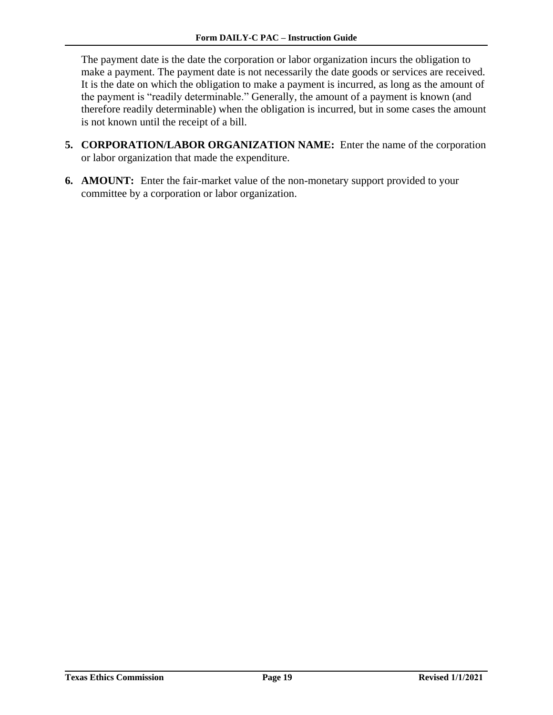The payment date is the date the corporation or labor organization incurs the obligation to make a payment. The payment date is not necessarily the date goods or services are received. It is the date on which the obligation to make a payment is incurred, as long as the amount of the payment is "readily determinable." Generally, the amount of a payment is known (and therefore readily determinable) when the obligation is incurred, but in some cases the amount is not known until the receipt of a bill.

- **5. CORPORATION/LABOR ORGANIZATION NAME:** Enter the name of the corporation or labor organization that made the expenditure.
- **6. AMOUNT:** Enter the fair-market value of the non-monetary support provided to your committee by a corporation or labor organization.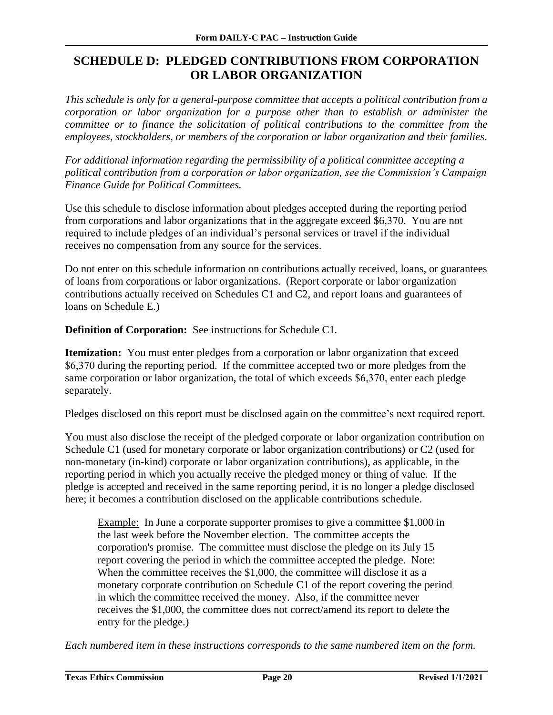## <span id="page-21-0"></span>**SCHEDULE D: PLEDGED CONTRIBUTIONS FROM CORPORATION OR LABOR ORGANIZATION**

*This schedule is only for a general-purpose committee that accepts a political contribution from a corporation or labor organization for a purpose other than to establish or administer the committee or to finance the solicitation of political contributions to the committee from the employees, stockholders, or members of the corporation or labor organization and their families*.

*For additional information regarding the permissibility of a political committee accepting a political contribution from a corporation or labor organization, see the Commission's Campaign Finance Guide for Political Committees.* 

Use this schedule to disclose information about pledges accepted during the reporting period from corporations and labor organizations that in the aggregate exceed \$6,370. You are not required to include pledges of an individual's personal services or travel if the individual receives no compensation from any source for the services.

Do not enter on this schedule information on contributions actually received, loans, or guarantees of loans from corporations or labor organizations. (Report corporate or labor organization contributions actually received on Schedules C1 and C2, and report loans and guarantees of loans on Schedule E.)

**Definition of Corporation:** See instructions for Schedule C1*.*

**Itemization:** You must enter pledges from a corporation or labor organization that exceed \$6,370 during the reporting period. If the committee accepted two or more pledges from the same corporation or labor organization, the total of which exceeds \$6,370, enter each pledge separately.

Pledges disclosed on this report must be disclosed again on the committee's next required report.

You must also disclose the receipt of the pledged corporate or labor organization contribution on Schedule C1 (used for monetary corporate or labor organization contributions) or C2 (used for non-monetary (in-kind) corporate or labor organization contributions), as applicable, in the reporting period in which you actually receive the pledged money or thing of value. If the pledge is accepted and received in the same reporting period, it is no longer a pledge disclosed here; it becomes a contribution disclosed on the applicable contributions schedule.

Example: In June a corporate supporter promises to give a committee \$1,000 in the last week before the November election. The committee accepts the corporation's promise. The committee must disclose the pledge on its July 15 report covering the period in which the committee accepted the pledge. Note: When the committee receives the \$1,000, the committee will disclose it as a monetary corporate contribution on Schedule C1 of the report covering the period in which the committee received the money. Also, if the committee never receives the \$1,000, the committee does not correct/amend its report to delete the entry for the pledge.)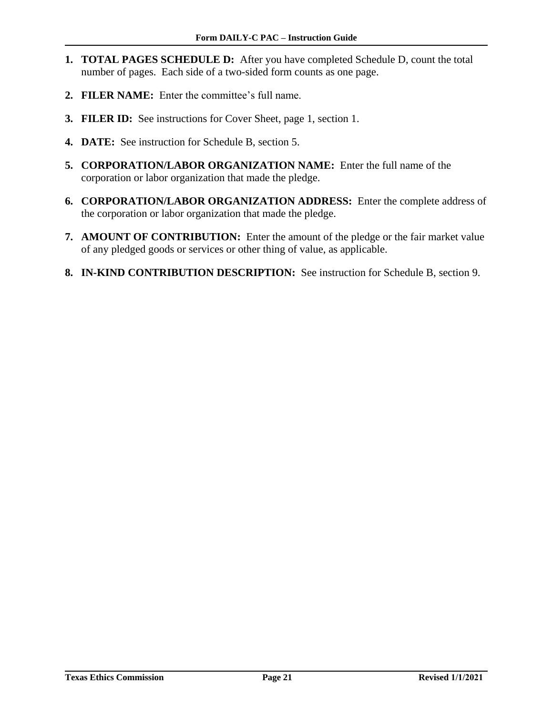- **1. TOTAL PAGES SCHEDULE D:** After you have completed Schedule D, count the total number of pages. Each side of a two-sided form counts as one page.
- **2. FILER NAME:** Enter the committee's full name.
- **3. FILER ID:** See instructions for Cover Sheet, page 1, section 1.
- **4. DATE:** See instruction for Schedule B, section 5.
- **5. CORPORATION/LABOR ORGANIZATION NAME:** Enter the full name of the corporation or labor organization that made the pledge.
- **6. CORPORATION/LABOR ORGANIZATION ADDRESS:** Enter the complete address of the corporation or labor organization that made the pledge.
- **7. AMOUNT OF CONTRIBUTION:** Enter the amount of the pledge or the fair market value of any pledged goods or services or other thing of value, as applicable.
- **8. IN-KIND CONTRIBUTION DESCRIPTION:** See instruction for Schedule B, section 9.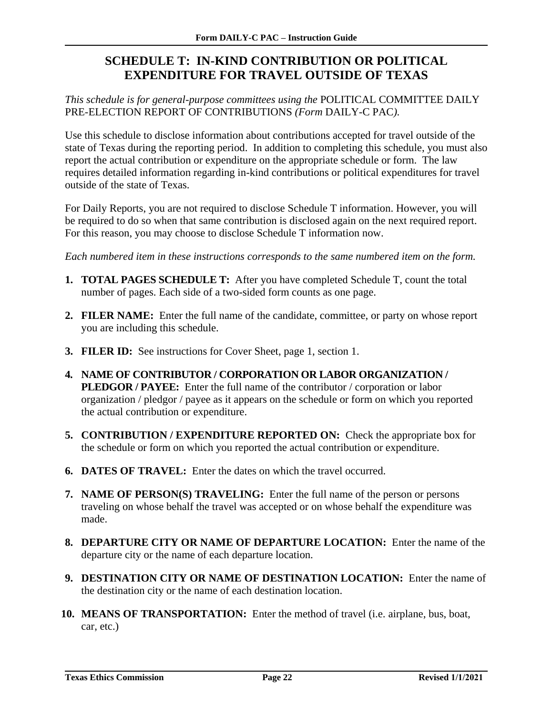## <span id="page-23-0"></span>**SCHEDULE T: IN-KIND CONTRIBUTION OR POLITICAL EXPENDITURE FOR TRAVEL OUTSIDE OF TEXAS**

*This schedule is for general-purpose committees using the* POLITICAL COMMITTEE DAILY PRE-ELECTION REPORT OF CONTRIBUTIONS *(Form* DAILY-C PAC*).*

Use this schedule to disclose information about contributions accepted for travel outside of the state of Texas during the reporting period. In addition to completing this schedule, you must also report the actual contribution or expenditure on the appropriate schedule or form. The law requires detailed information regarding in-kind contributions or political expenditures for travel outside of the state of Texas.

For Daily Reports, you are not required to disclose Schedule T information. However, you will be required to do so when that same contribution is disclosed again on the next required report. For this reason, you may choose to disclose Schedule T information now.

- **1. TOTAL PAGES SCHEDULE T:** After you have completed Schedule T, count the total number of pages. Each side of a two-sided form counts as one page.
- **2. FILER NAME:** Enter the full name of the candidate, committee, or party on whose report you are including this schedule.
- **3. FILER ID:** See instructions for Cover Sheet, page 1, section 1.
- **4. NAME OF CONTRIBUTOR / CORPORATION OR LABOR ORGANIZATION / PLEDGOR / PAYEE:** Enter the full name of the contributor / corporation or labor organization / pledgor / payee as it appears on the schedule or form on which you reported the actual contribution or expenditure.
- **5. CONTRIBUTION / EXPENDITURE REPORTED ON:** Check the appropriate box for the schedule or form on which you reported the actual contribution or expenditure.
- **6. DATES OF TRAVEL:** Enter the dates on which the travel occurred.
- **7. NAME OF PERSON(S) TRAVELING:** Enter the full name of the person or persons traveling on whose behalf the travel was accepted or on whose behalf the expenditure was made.
- **8. DEPARTURE CITY OR NAME OF DEPARTURE LOCATION:** Enter the name of the departure city or the name of each departure location.
- **9. DESTINATION CITY OR NAME OF DESTINATION LOCATION:** Enter the name of the destination city or the name of each destination location.
- **10. MEANS OF TRANSPORTATION:** Enter the method of travel (i.e. airplane, bus, boat, car, etc.)